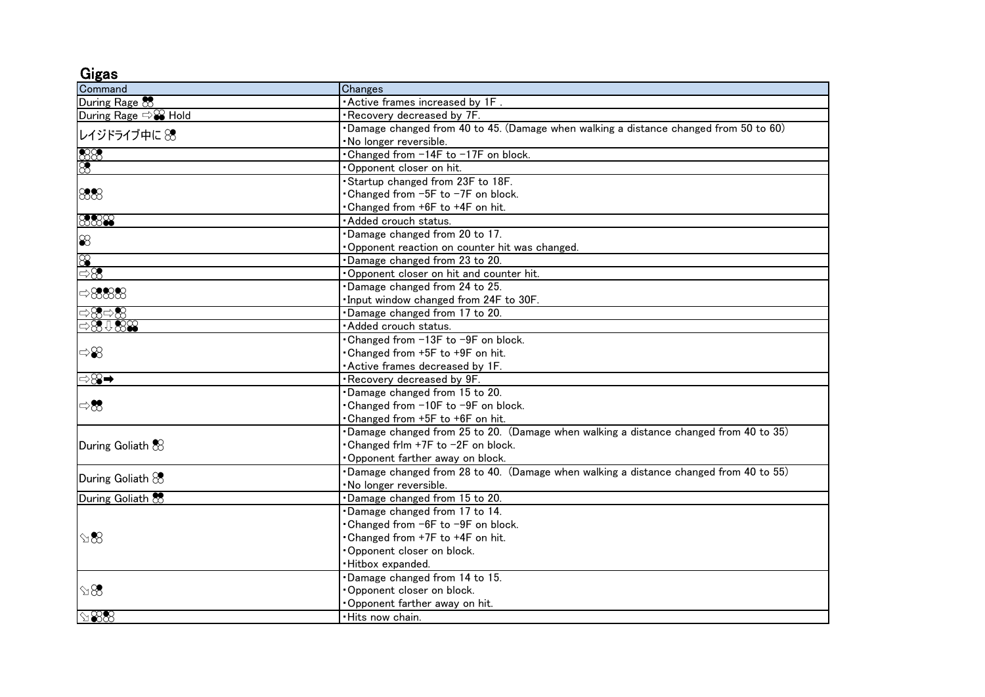Gigas

| ---<br>Command                                                                  | Changes                                                                               |
|---------------------------------------------------------------------------------|---------------------------------------------------------------------------------------|
| During Rage &                                                                   | Active frames increased by 1F.                                                        |
| During Rage <> <sup>©</sup> Hold                                                | Recovery decreased by 7F.                                                             |
| レイジドライブ中に 88                                                                    | Damage changed from 40 to 45. (Damage when walking a distance changed from 50 to 60)  |
|                                                                                 | No longer reversible.                                                                 |
| $\frac{88}{8}$                                                                  | Changed from -14F to -17F on block.                                                   |
|                                                                                 | Opponent closer on hit.                                                               |
| 888                                                                             | Startup changed from 23F to 18F.                                                      |
|                                                                                 | Changed from -5F to -7F on block.                                                     |
|                                                                                 | Changed from +6F to +4F on hit.                                                       |
| 8888                                                                            | Added crouch status.                                                                  |
| $\otimes$                                                                       | Damage changed from 20 to 17.                                                         |
|                                                                                 | Opponent reaction on counter hit was changed.                                         |
| $\infty$                                                                        | Damage changed from 23 to 20.                                                         |
| $\Rightarrow \otimes$                                                           | Opponent closer on hit and counter hit.                                               |
| $\Rightarrow$ 8888                                                              | Damage changed from 24 to 25.                                                         |
|                                                                                 | Input window changed from 24F to 30F.                                                 |
| ⇒83⇒83                                                                          | Damage changed from 17 to 20.                                                         |
| $\Rightarrow\mathbf{\circled{s}}\oplus\mathbf{\circled{s}}\mathbf{\circled{s}}$ | Added crouch status.                                                                  |
| $\Rightarrow\!\!\!\!\! \mathcal{S}\!\!\!\!\! \mathcal{S}$                       | Changed from -13F to -9F on block.                                                    |
|                                                                                 | Changed from +5F to +9F on hit.                                                       |
|                                                                                 | Active frames decreased by 1F.                                                        |
| ⇨8) ➡                                                                           | Recovery decreased by 9F.                                                             |
| ⇔没                                                                              | Damage changed from 15 to 20.                                                         |
|                                                                                 | Changed from -10F to -9F on block.                                                    |
|                                                                                 | Changed from +5F to +6F on hit.                                                       |
| During Goliath &                                                                | Damage changed from 25 to 20. (Damage when walking a distance changed from 40 to 35)  |
|                                                                                 | • Changed frlm +7F to −2F on block.                                                   |
|                                                                                 | Opponent farther away on block.                                                       |
| During Goliath $83$                                                             | •Damage changed from 28 to 40. (Damage when walking a distance changed from 40 to 55) |
|                                                                                 | No longer reversible.                                                                 |
| During Goliath &                                                                | Damage changed from 15 to 20.                                                         |
| $\mathbb{R}$                                                                    | Damage changed from 17 to 14.                                                         |
|                                                                                 | Changed from −6F to −9F on block.                                                     |
|                                                                                 | Changed from +7F to +4F on hit.                                                       |
|                                                                                 | Opponent closer on block.                                                             |
|                                                                                 | Hitbox expanded.                                                                      |
| $\Im 8$                                                                         | Damage changed from 14 to 15.                                                         |
|                                                                                 | Opponent closer on block.                                                             |
|                                                                                 | Opponent farther away on hit.                                                         |
| $\otimes\$                                                                      | •Hits now chain.                                                                      |